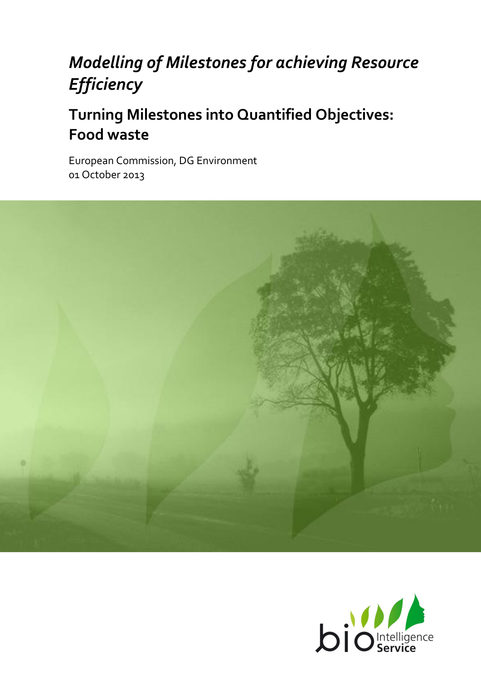# *Modelling of Milestones for achieving Resource Efficiency*

# **Turning Milestones into Quantified Objectives: Food waste**

European Commission, DG Environment 01 October 2013



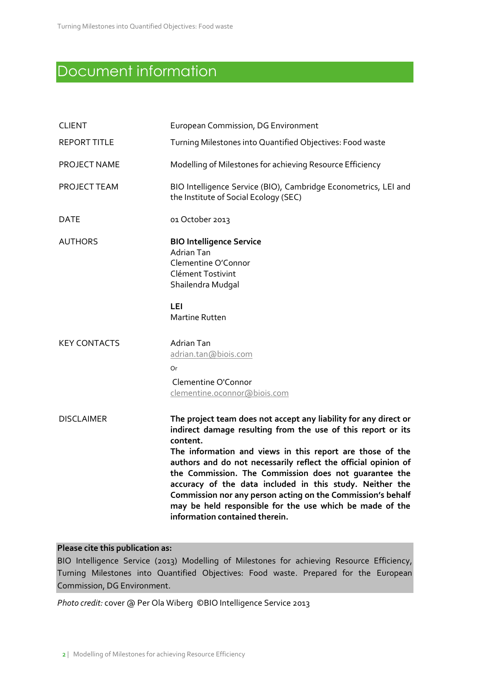# Document information

| <b>CLIENT</b>       | European Commission, DG Environment                                                                                                                                                                                                                                                                                                                                                                                                                                                                                                                           |
|---------------------|---------------------------------------------------------------------------------------------------------------------------------------------------------------------------------------------------------------------------------------------------------------------------------------------------------------------------------------------------------------------------------------------------------------------------------------------------------------------------------------------------------------------------------------------------------------|
| <b>REPORT TITLE</b> | Turning Milestones into Quantified Objectives: Food waste                                                                                                                                                                                                                                                                                                                                                                                                                                                                                                     |
| PROJECT NAME        | Modelling of Milestones for achieving Resource Efficiency                                                                                                                                                                                                                                                                                                                                                                                                                                                                                                     |
| PROJECT TEAM        | BIO Intelligence Service (BIO), Cambridge Econometrics, LEI and<br>the Institute of Social Ecology (SEC)                                                                                                                                                                                                                                                                                                                                                                                                                                                      |
| <b>DATE</b>         | 01 October 2013                                                                                                                                                                                                                                                                                                                                                                                                                                                                                                                                               |
| <b>AUTHORS</b>      | <b>BIO Intelligence Service</b><br><b>Adrian Tan</b><br>Clementine O'Connor<br>Clément Tostivint<br>Shailendra Mudgal<br>LEI<br><b>Martine Rutten</b>                                                                                                                                                                                                                                                                                                                                                                                                         |
| <b>KEY CONTACTS</b> | <b>Adrian Tan</b><br>adrian.tan@biois.com<br>Or<br>Clementine O'Connor<br>clementine.oconnor@biois.com                                                                                                                                                                                                                                                                                                                                                                                                                                                        |
| <b>DISCLAIMER</b>   | The project team does not accept any liability for any direct or<br>indirect damage resulting from the use of this report or its<br>content.<br>The information and views in this report are those of the<br>authors and do not necessarily reflect the official opinion of<br>the Commission. The Commission does not guarantee the<br>accuracy of the data included in this study. Neither the<br>Commission nor any person acting on the Commission's behalf<br>may be held responsible for the use which be made of the<br>information contained therein. |

### **Please cite this publication as:**

BIO Intelligence Service (2013) Modelling of Milestones for achieving Resource Efficiency, Turning Milestones into Quantified Objectives: Food waste. Prepared for the European Commission, DG Environment.

*Photo credit:* cover @ Per Ola Wiberg ©BIO Intelligence Service 2013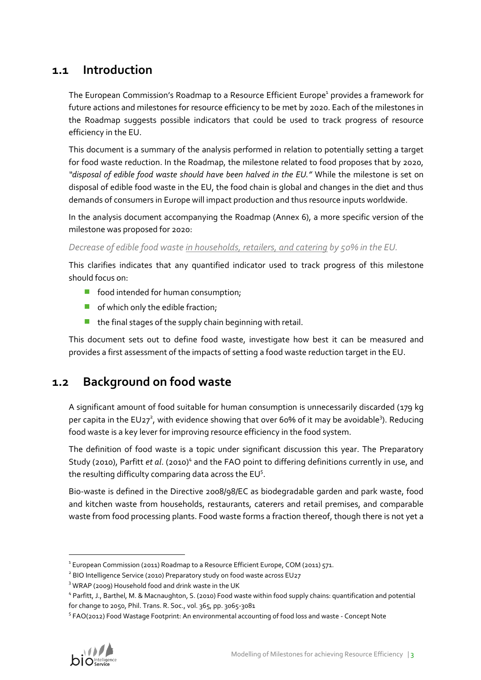# **1.1 Introduction**

The European Commission's Roadmap to a Resource Efficient Europe<sup>1</sup> provides a framework for future actions and milestones for resource efficiency to be met by 2020. Each of the milestones in the Roadmap suggests possible indicators that could be used to track progress of resource efficiency in the EU.

This document is a summary of the analysis performed in relation to potentially setting a target for food waste reduction. In the Roadmap, the milestone related to food proposes that by 2020, *"disposal of edible food waste should have been halved in the EU."* While the milestone is set on disposal of edible food waste in the EU, the food chain is global and changes in the diet and thus demands of consumers in Europe will impact production and thus resource inputs worldwide.

In the analysis document accompanying the Roadmap (Annex 6), a more specific version of the milestone was proposed for 2020:

### *Decrease of edible food waste in households, retailers, and catering by 50% in the EU.*

This clarifies indicates that any quantified indicator used to track progress of this milestone should focus on:

- **food intended for human consumption;**
- **o** of which only the edible fraction;
- $\blacksquare$  the final stages of the supply chain beginning with retail.

This document sets out to define food waste, investigate how best it can be measured and provides a first assessment of the impacts of setting a food waste reduction target in the EU.

# **1.2 Background on food waste**

A significant amount of food suitable for human consumption is unnecessarily discarded (179 kg per capita in the EU27<sup>2</sup>, with evidence showing that over 60% of it may be avoidable<sup>3</sup>). Reducing food waste is a key lever for improving resource efficiency in the food system.

<span id="page-2-0"></span>The definition of food waste is a topic under significant discussion this year. The Preparatory Study (2010), Parfitt et al. (2010)<sup>4</sup> and the FAO point to differing definitions currently in use, and the resulting difficulty comparing data across the  $EU^5$ .

Bio-waste is defined in the Directive 2008/98/EC as biodegradable garden and park waste, food and kitchen waste from households, restaurants, caterers and retail premises, and comparable waste from food processing plants. Food waste forms a fraction thereof, though there is not yet a

<sup>&</sup>lt;sup>5</sup> FAO(2012) Food Wastage Footprint: An environmental accounting of food loss and waste - Concept Note



 $^{\text{1}}$  European Commission (2011) Roadmap to a Resource Efficient Europe, COM (2011) 571.

<sup>&</sup>lt;sup>2</sup> BIO Intelligence Service (2010) Preparatory study on food waste across EU27

<sup>&</sup>lt;sup>3</sup> WRAP (2009) Household food and drink waste in the UK

<sup>4</sup> Parfitt, J., Barthel, M. & Macnaughton, S. (2010) Food waste within food supply chains: quantification and potential for change to 2050, Phil. Trans. R. Soc., vol. 365, pp. 3065-3081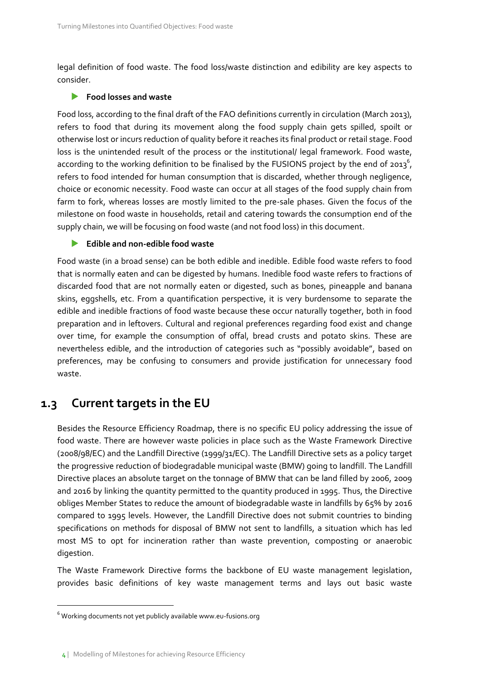legal definition of food waste. The food loss/waste distinction and edibility are key aspects to consider.

#### **Food losses and waste**

Food loss, according to the final draft of the FAO definitions currently in circulation (March 2013), refers to food that during its movement along the food supply chain gets spilled, spoilt or otherwise lost or incurs reduction of quality before it reaches its final product or retail stage. Food loss is the unintended result of the process or the institutional/ legal framework. Food waste, according to the working definition to be finalised by the FUSIONS project by the end of 2013<sup>6</sup>, refers to food intended for human consumption that is discarded, whether through negligence, choice or economic necessity. Food waste can occur at all stages of the food supply chain from farm to fork, whereas losses are mostly limited to the pre-sale phases. Given the focus of the milestone on food waste in households, retail and catering towards the consumption end of the supply chain, we will be focusing on food waste (and not food loss) in this document.

#### **Edible and non-edible food waste**

Food waste (in a broad sense) can be both edible and inedible. Edible food waste refers to food that is normally eaten and can be digested by humans. Inedible food waste refers to fractions of discarded food that are not normally eaten or digested, such as bones, pineapple and banana skins, eggshells, etc. From a quantification perspective, it is very burdensome to separate the edible and inedible fractions of food waste because these occur naturally together, both in food preparation and in leftovers. Cultural and regional preferences regarding food exist and change over time, for example the consumption of offal, bread crusts and potato skins. These are nevertheless edible, and the introduction of categories such as "possibly avoidable", based on preferences, may be confusing to consumers and provide justification for unnecessary food waste.

### **1.3 Current targets in the EU**

Besides the Resource Efficiency Roadmap, there is no specific EU policy addressing the issue of food waste. There are however waste policies in place such as the Waste Framework Directive (2008/98/EC) and the Landfill Directive (1999/31/EC). The Landfill Directive sets as a policy target the progressive reduction of biodegradable municipal waste (BMW) going to landfill. The Landfill Directive places an absolute target on the tonnage of BMW that can be land filled by 2006, 2009 and 2016 by linking the quantity permitted to the quantity produced in 1995. Thus, the Directive obliges Member States to reduce the amount of biodegradable waste in landfills by 65% by 2016 compared to 1995 levels. However, the Landfill Directive does not submit countries to binding specifications on methods for disposal of BMW not sent to landfills, a situation which has led most MS to opt for incineration rather than waste prevention, composting or anaerobic digestion.

The Waste Framework Directive forms the backbone of EU waste management legislation, provides basic definitions of key waste management terms and lays out basic waste

 $6$  Working documents not yet publicly available www.eu-fusions.org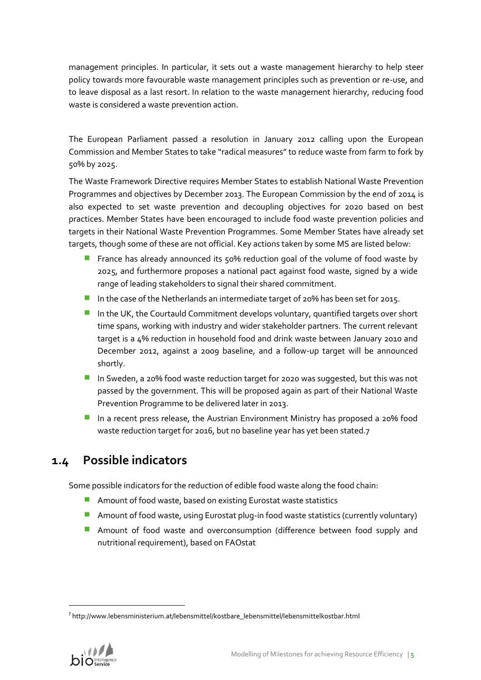management principles. In particular, it sets out a waste management hierarchy to help steer policy towards more favourable waste management principles such as prevention or re-use, and to leave disposal as a last resort. In relation to the waste management hierarchy, reducing food waste is considered a waste prevention action.

The European Parliament passed a resolution in January 2012 calling upon the European Commission and Member States to take "radical measures" to reduce waste from farm to fork by 50% by 2025.

The Waste Framework Directive requires Member States to establish National Waste Prevention Programmes and objectives by December 2013. The European Commission by the end of 2014 is also expected to set waste prevention and decoupling objectives for 2020 based on best practices. Member States have been encouraged to include food waste prevention policies and targets in their National Waste Prevention Programmes. Some Member States have already set targets, though some of these are not official. Key actions taken by some MS are listed below:

- **F** France has already announced its 50% reduction goal of the volume of food waste by 2025, and furthermore proposes a national pact against food waste, signed by a wide range of leading stakeholders to signal their shared commitment.
- In the case of the Netherlands an intermediate target of 20% has been set for 2015.
- $\blacksquare$  In the UK, the Courtauld Commitment develops voluntary, quantified targets over short time spans, working with industry and wider stakeholder partners. The current relevant target is a 4% reduction in household food and drink waste between January 2010 and December 2012, against a 2009 baseline, and a follow-up target will be announced shortly.
- In Sweden, a 20% food waste reduction target for 2020 was suggested, but this was not passed by the government. This will be proposed again as part of their National Waste Prevention Programme to be delivered later in 2013.
- In a recent press release, the Austrian Environment Ministry has proposed a 20% food waste reduction target for 2016, but no baseline year has yet been stated.7

# **1.4 Possible indicators**

Some possible indicators for the reduction of edible food waste along the food chain:

- **Amount of food waste, based on existing Eurostat waste statistics**
- **Amount of food waste, using Eurostat plug-in food waste statistics (currently voluntary)**
- **Amount of food waste and overconsumption (difference between food supply and** nutritional requirement), based on FAOstat

<sup>&</sup>lt;sup>7</sup>[http://www.lebensministerium.at/lebensmittel/kostbare\\_lebensmittel/lebensmittelkostbar.html](http://www.lebensministerium.at/lebensmittel/kostbare_lebensmittel/lebensmittelkostbar.html)

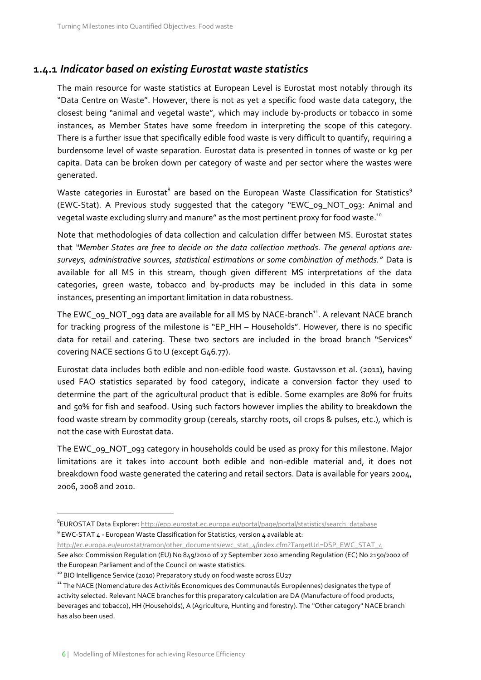### **1.4.1** *Indicator based on existing Eurostat waste statistics*

The main resource for waste statistics at European Level is Eurostat most notably through its "Data Centre on Waste". However, there is not as yet a specific food waste data category, the closest being "animal and vegetal waste", which may include by-products or tobacco in some instances, as Member States have some freedom in interpreting the scope of this category. There is a further issue that specifically edible food waste is very difficult to quantify, requiring a burdensome level of waste separation. Eurostat data is presented in tonnes of waste or kg per capita. Data can be broken down per category of waste and per sector where the wastes were generated.

Waste categories in Eurostat $^{\rm 8}$  are based on the European Waste Classification for Statistics $^{\rm 9}$ (EWC-Stat). A Previous study suggested that the category "EWC\_09\_NOT\_093: Animal and vegetal waste excluding slurry and manure" as the most pertinent proxy for food waste. $^{10}$ 

Note that methodologies of data collection and calculation differ between MS. Eurostat states that *"Member States are free to decide on the data collection methods. The general options are: surveys, administrative sources, statistical estimations or some combination of methods."* Data is available for all MS in this stream, though given different MS interpretations of the data categories, green waste, tobacco and by-products may be included in this data in some instances, presenting an important limitation in data robustness.

The EWC\_09\_NOT\_093 data are available for all MS by NACE-branch<sup>11</sup>. A relevant NACE branch for tracking progress of the milestone is "EP\_HH – Households". However, there is no specific data for retail and catering. These two sectors are included in the broad branch "Services" covering NACE sections G to U (except G46.77).

Eurostat data includes both edible and non-edible food waste. Gustavsson et al. (2011), having used FAO statistics separated by food category, indicate a conversion factor they used to determine the part of the agricultural product that is edible. Some examples are 80% for fruits and 50% for fish and seafood. Using such factors however implies the ability to breakdown the food waste stream by commodity group (cereals, starchy roots, oil crops & pulses, etc.), which is not the case with Eurostat data.

The EWC\_09\_NOT\_093 category in households could be used as proxy for this milestone. Major limitations are it takes into account both edible and non-edible material and, it does not breakdown food waste generated the catering and retail sectors. Data is available for years 2004, 2006, 2008 and 2010.

[http://ec.europa.eu/eurostat/ramon/other\\_documents/ewc\\_stat\\_4/index.cfm?TargetUrl=DSP\\_EWC\\_STAT\\_4](http://ec.europa.eu/eurostat/ramon/other_documents/ewc_stat_4/index.cfm?TargetUrl=DSP_EWC_STAT_4)

<sup>8</sup> EUROSTAT Data Explorer[: http://epp.eurostat.ec.europa.eu/portal/page/portal/statistics/search\\_database](http://epp.eurostat.ec.europa.eu/portal/page/portal/statistics/search_database)  $9$  EWC-STAT  $4$  - European Waste Classification for Statistics, version  $4$  available at:

See also: Commission Regulation (EU) No 849/2010 of 27 September 2010 amending Regulation (EC) No 2150/2002 of the European Parliament and of the Council on waste statistics.

<sup>&</sup>lt;sup>10</sup> BIO Intelligence Service (2010) Preparatory study on food waste across EU27

<sup>&</sup>lt;sup>11</sup> The NACE (Nomenclature des Activités Economiques des Communautés Européennes) designates the type of activity selected. Relevant NACE branches for this preparatory calculation are DA (Manufacture of food products, beverages and tobacco), HH (Households), A (Agriculture, Hunting and forestry). The "Other category" NACE branch has also been used.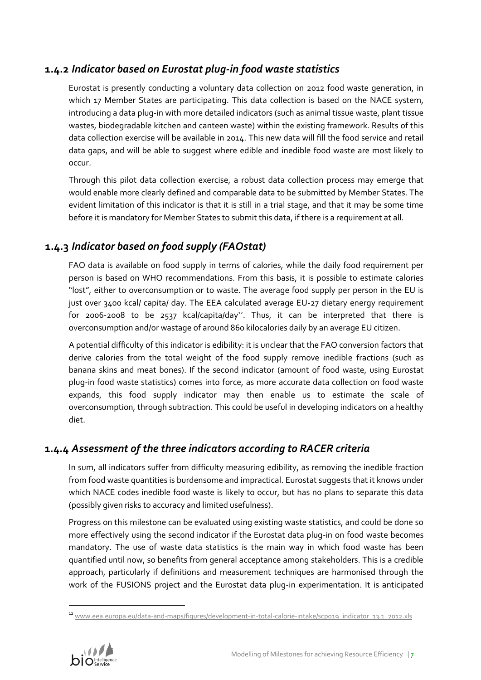### **1.4.2** *Indicator based on Eurostat plug-in food waste statistics*

Eurostat is presently conducting a voluntary data collection on 2012 food waste generation, in which 17 Member States are participating. This data collection is based on the NACE system, introducing a data plug-in with more detailed indicators (such as animal tissue waste, plant tissue wastes, biodegradable kitchen and canteen waste) within the existing framework. Results of this data collection exercise will be available in 2014. This new data will fill the food service and retail data gaps, and will be able to suggest where edible and inedible food waste are most likely to occur.

Through this pilot data collection exercise, a robust data collection process may emerge that would enable more clearly defined and comparable data to be submitted by Member States. The evident limitation of this indicator is that it is still in a trial stage, and that it may be some time before it is mandatory for Member States to submit this data, if there is a requirement at all.

## **1.4.3** *Indicator based on food supply (FAOstat)*

FAO data is available on food supply in terms of calories, while the daily food requirement per person is based on WHO recommendations. From this basis, it is possible to estimate calories "lost", either to overconsumption or to waste. The average food supply per person in the EU is just over 3400 kcal/ capita/ day. The EEA calculated average EU-27 dietary energy requirement for 2006-2008 to be 2537 kcal/capita/day<sup>12</sup>. Thus, it can be interpreted that there is overconsumption and/or wastage of around 860 kilocalories daily by an average EU citizen.

A potential difficulty of this indicator is edibility: it is unclear that the FAO conversion factors that derive calories from the total weight of the food supply remove inedible fractions (such as banana skins and meat bones). If the second indicator (amount of food waste, using Eurostat plug-in food waste statistics) comes into force, as more accurate data collection on food waste expands, this food supply indicator may then enable us to estimate the scale of overconsumption, through subtraction. This could be useful in developing indicators on a healthy diet.

## **1.4.4** *Assessment of the three indicators according to RACER criteria*

In sum, all indicators suffer from difficulty measuring edibility, as removing the inedible fraction from food waste quantities is burdensome and impractical. Eurostat suggests that it knows under which NACE codes inedible food waste is likely to occur, but has no plans to separate this data (possibly given risks to accuracy and limited usefulness).

Progress on this milestone can be evaluated using existing waste statistics, and could be done so more effectively using the second indicator if the Eurostat data plug-in on food waste becomes mandatory. The use of waste data statistics is the main way in which food waste has been quantified until now, so benefits from general acceptance among stakeholders. This is a credible approach, particularly if definitions and measurement techniques are harmonised through the work of the FUSIONS project and the Eurostat data plug-in experimentation. It is anticipated

<sup>&</sup>lt;sup>12</sup> www.eea<u>.europa.eu/data-and-maps/figures/development-in-total-calorie-intake/scpo19\_indicator\_13.1\_2012.xls</u>

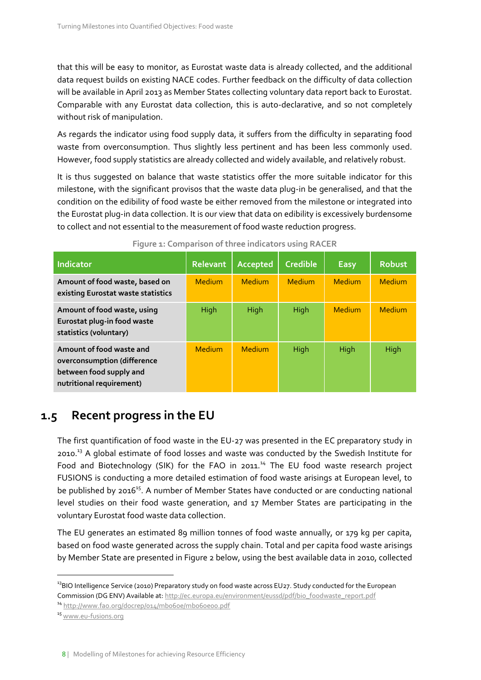that this will be easy to monitor, as Eurostat waste data is already collected, and the additional data request builds on existing NACE codes. Further feedback on the difficulty of data collection will be available in April 2013 as Member States collecting voluntary data report back to Eurostat. Comparable with any Eurostat data collection, this is auto-declarative, and so not completely without risk of manipulation.

As regards the indicator using food supply data, it suffers from the difficulty in separating food waste from overconsumption. Thus slightly less pertinent and has been less commonly used. However, food supply statistics are already collected and widely available, and relatively robust.

It is thus suggested on balance that waste statistics offer the more suitable indicator for this milestone, with the significant provisos that the waste data plug-in be generalised, and that the condition on the edibility of food waste be either removed from the milestone or integrated into the Eurostat plug-in data collection. It is our view that data on edibility is excessively burdensome to collect and not essential to the measurement of food waste reduction progress.

| <b>Indicator</b>                                                                                               | <b>Relevant</b> | Accepted      | <b>Credible</b> | <b>Easy</b> | <b>Robust</b> |
|----------------------------------------------------------------------------------------------------------------|-----------------|---------------|-----------------|-------------|---------------|
| Amount of food waste, based on<br>existing Eurostat waste statistics                                           | Medium          | Medium        | Medium          | Medium      | Medium        |
| Amount of food waste, using<br>Eurostat plug-in food waste<br>statistics (voluntary)                           | High            | <b>High</b>   | High            | Medium      | Medium        |
| Amount of food waste and<br>overconsumption (difference<br>between food supply and<br>nutritional requirement) | Medium          | <b>Medium</b> | High            | High        | High          |

# **1.5 Recent progress in the EU**

The first quantification of food waste in the EU-27 was presented in the EC preparatory study in 2010.<sup>13</sup> A global estimate of food losses and waste was conducted by the Swedish Institute for Food and Biotechnology (SIK) for the FAO in 2011.<sup>14</sup> The EU food waste research project FUSIONS is conducting a more detailed estimation of food waste arisings at European level, to be published by 2016<sup>15</sup>. A number of Member States have conducted or are conducting national level studies on their food waste generation, and 17 Member States are participating in the voluntary Eurostat food waste data collection.

The EU generates an estimated 89 million tonnes of food waste annually, or 179 kg per capita, based on food waste generated across the supply chain. Total and per capita food waste arisings by Member State are presented in [Figure 2](#page-8-0) below, using the best available data in 2010, collected

<sup>14</sup> <http://www.fao.org/docrep/014/mb060e/mb060e00.pdf>

<sup>15</sup> [www.eu-fusions.org](http://www.eu-fusions.org/)

<sup>&</sup>lt;sup>13</sup>BIO Intelligence Service (2010) Preparatory study on food waste across EU27. Study conducted for the European Commission (DG ENV) Available at[: http://ec.europa.eu/environment/eussd/pdf/bio\\_foodwaste\\_report.pdf](http://ec.europa.eu/environment/eussd/pdf/bio_foodwaste_report.pdf)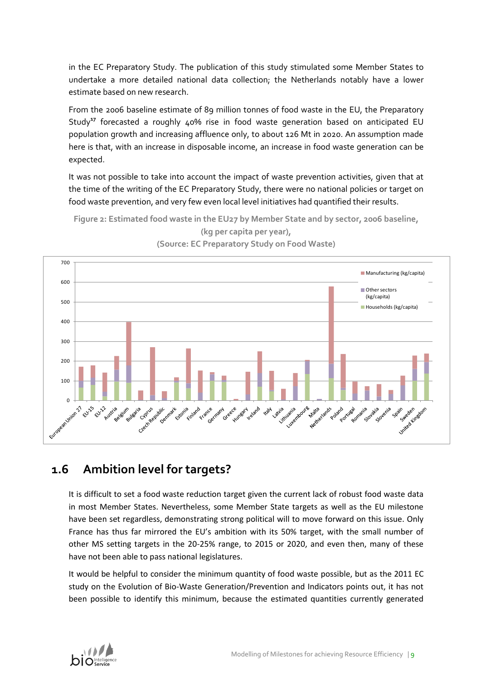in the EC Preparatory Study. The publication of this study stimulated some Member States to undertake a more detailed national data collection; the Netherlands notably have a lower estimate based on new research.

From the 2006 baseline estimate of 89 million tonnes of food waste in the EU, the Preparatory Study**<sup>17</sup>** forecasted a roughly 40% rise in food waste generation based on anticipated EU population growth and increasing affluence only, to about 126 Mt in 2020. An assumption made here is that, with an increase in disposable income, an increase in food waste generation can be expected.

It was not possible to take into account the impact of waste prevention activities, given that at the time of the writing of the EC Preparatory Study, there were no national policies or target on food waste prevention, and very few even local level initiatives had quantified their results.

<span id="page-8-0"></span>



**(Source: EC Preparatory Study on Food Waste)**

# **1.6 Ambition level for targets?**

It is difficult to set a food waste reduction target given the current lack of robust food waste data in most Member States. Nevertheless, some Member State targets as well as the EU milestone have been set regardless, demonstrating strong political will to move forward on this issue. Only France has thus far mirrored the EU's ambition with its 50% target, with the small number of other MS setting targets in the 20-25% range, to 2015 or 2020, and even then, many of these have not been able to pass national legislatures.

It would be helpful to consider the minimum quantity of food waste possible, but as the 2011 EC study on the Evolution of Bio-Waste Generation/Prevention and Indicators points out, it has not been possible to identify this minimum, because the estimated quantities currently generated

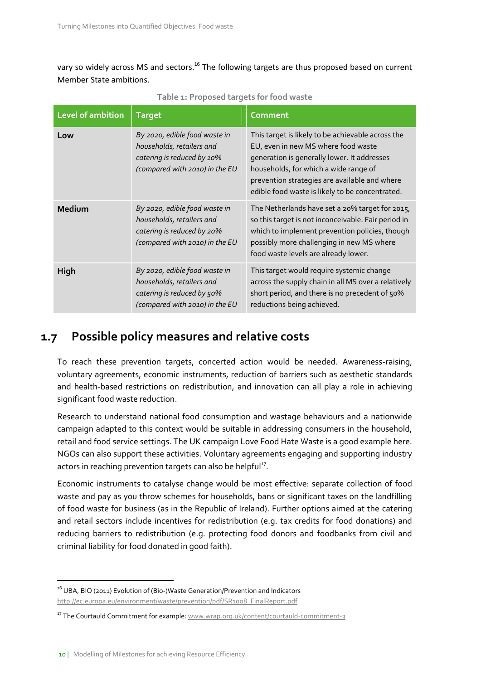vary so widely across MS and sectors.<sup>16</sup> The following targets are thus proposed based on current Member State ambitions.

<span id="page-9-0"></span>

| Level of ambition | <b>Target</b>                                                                                                              | <b>Comment</b>                                                                                                                                                                                                                                                                       |
|-------------------|----------------------------------------------------------------------------------------------------------------------------|--------------------------------------------------------------------------------------------------------------------------------------------------------------------------------------------------------------------------------------------------------------------------------------|
| Low               | By 2020, edible food waste in<br>households, retailers and<br>catering is reduced by 10%<br>(compared with 2010) in the EU | This target is likely to be achievable across the<br>EU, even in new MS where food waste<br>generation is generally lower. It addresses<br>households, for which a wide range of<br>prevention strategies are available and where<br>edible food waste is likely to be concentrated. |
| Medium            | By 2020, edible food waste in<br>households, retailers and<br>catering is reduced by 20%<br>(compared with 2010) in the EU | The Netherlands have set a 20% target for 2015,<br>so this target is not inconceivable. Fair period in<br>which to implement prevention policies, though<br>possibly more challenging in new MS where<br>food waste levels are already lower.                                        |
| High              | By 2020, edible food waste in<br>households, retailers and<br>catering is reduced by 50%<br>(compared with 2010) in the EU | This target would require systemic change<br>across the supply chain in all MS over a relatively<br>short period, and there is no precedent of 50%<br>reductions being achieved.                                                                                                     |

**Table 1: Proposed targets for food waste**

# **1.7 Possible policy measures and relative costs**

To reach these prevention targets, concerted action would be needed. Awareness-raising, voluntary agreements, economic instruments, reduction of barriers such as aesthetic standards and health-based restrictions on redistribution, and innovation can all play a role in achieving significant food waste reduction.

Research to understand national food consumption and wastage behaviours and a nationwide campaign adapted to this context would be suitable in addressing consumers in the household, retail and food service settings. The UK campaign Love Food Hate Waste is a good example here. NGOs can also support these activities. Voluntary agreements engaging and supporting industry actors in reaching prevention targets can also be helpful<sup>17</sup>.

Economic instruments to catalyse change would be most effective: separate collection of food waste and pay as you throw schemes for households, bans or significant taxes on the landfilling of food waste for business (as in the Republic of Ireland). Further options aimed at the catering and retail sectors include incentives for redistribution (e.g. tax credits for food donations) and reducing barriers to redistribution (e.g. protecting food donors and foodbanks from civil and criminal liability for food donated in good faith).

<sup>&</sup>lt;sup>16</sup> UBA, BIO (2011) Evolution of (Bio-)Waste Generation/Prevention and Indicators [http://ec.europa.eu/environment/waste/prevention/pdf/SR1008\\_FinalReport.pdf](http://ec.europa.eu/environment/waste/prevention/pdf/SR1008_FinalReport.pdf)

<sup>&</sup>lt;sup>17</sup> The Courtauld Commitment for example: [www.wrap.org.uk/content/courtauld-commitment-3](http://www.wrap.org.uk/content/courtauld-commitment-3)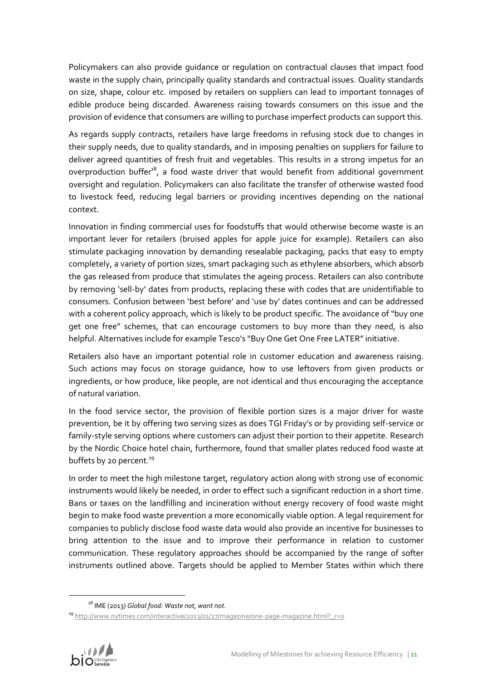Policymakers can also provide guidance or regulation on contractual clauses that impact food waste in the supply chain, principally quality standards and contractual issues. Quality standards on size, shape, colour etc. imposed by retailers on suppliers can lead to important tonnages of edible produce being discarded. Awareness raising towards consumers on this issue and the provision of evidence that consumers are willing to purchase imperfect products can support this.

As regards supply contracts, retailers have large freedoms in refusing stock due to changes in their supply needs, due to quality standards, and in imposing penalties on suppliers for failure to deliver agreed quantities of fresh fruit and vegetables. This results in a strong impetus for an overproduction buffer<sup>18</sup>, a food waste driver that would benefit from additional government oversight and regulation. Policymakers can also facilitate the transfer of otherwise wasted food to livestock feed, reducing legal barriers or providing incentives depending on the national context.

Innovation in finding commercial uses for foodstuffs that would otherwise become waste is an important lever for retailers (bruised apples for apple juice for example). Retailers can also stimulate packaging innovation by demanding resealable packaging, packs that easy to empty completely, a variety of portion sizes, smart packaging such as ethylene absorbers, which absorb the gas released from produce that stimulates the ageing process. Retailers can also contribute by removing 'sell-by' dates from products, replacing these with codes that are unidentifiable to consumers. Confusion between 'best before' and 'use by' dates continues and can be addressed with a coherent policy approach, which is likely to be product specific. The avoidance of "buy one get one free" schemes, that can encourage customers to buy more than they need, is also helpful. Alternatives include for example Tesco's "Buy One Get One Free LATER" initiative.

Retailers also have an important potential role in customer education and awareness raising. Such actions may focus on storage guidance, how to use leftovers from given products or ingredients, or how produce, like people, are not identical and thus encouraging the acceptance of natural variation.

In the food service sector, the provision of flexible portion sizes is a major driver for waste prevention, be it by offering two serving sizes as does TGI Friday's or by providing self-service or family-style serving options where customers can adjust their portion to their appetite. Research by the Nordic Choice hotel chain, furthermore, found that smaller plates reduced food waste at buffets by 20 percent. $^{19}$ 

In order to meet the high milestone target, regulatory action along with strong use of economic instruments would likely be needed, in order to effect such a significant reduction in a short time. Bans or taxes on the landfilling and incineration without energy recovery of food waste might begin to make food waste prevention a more economically viable option. A legal requirement for companies to publicly disclose food waste data would also provide an incentive for businesses to bring attention to the issue and to improve their performance in relation to customer communication. These regulatory approaches should be accompanied by the range of softer instruments outlined above. Targets should be applied to Member States within which there

<sup>&</sup>lt;sup>19</sup> [http://www.nytimes.com/interactive/2013/01/27/magazine/one-page-magazine.html?\\_r=0](http://www.nytimes.com/interactive/2013/01/27/magazine/one-page-magazine.html?_r=0)



<sup>18</sup> IME (2013) *Global food: Waste not, want not.*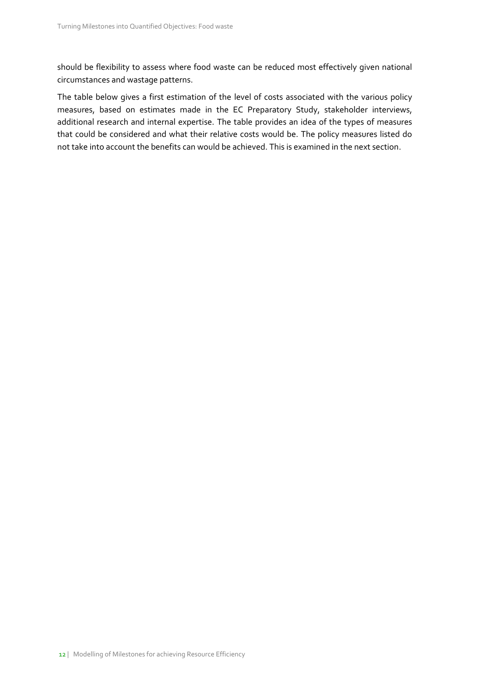should be flexibility to assess where food waste can be reduced most effectively given national circumstances and wastage patterns.

The table below gives a first estimation of the level of costs associated with the various policy measures, based on estimates made in the EC Preparatory Study, stakeholder interviews, additional research and internal expertise. The table provides an idea of the types of measures that could be considered and what their relative costs would be. The policy measures listed do not take into account the benefits can would be achieved. This is examined in the next section.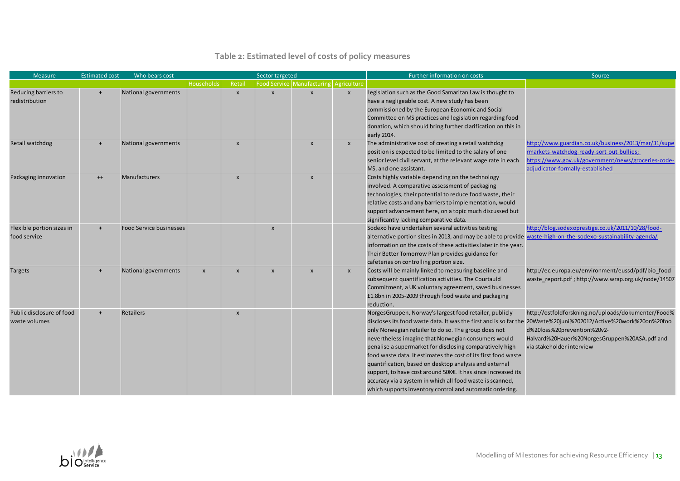## **Table 2: Estimated level of costs of policy measures**

| <b>Measure</b>                             | <b>Estimated cost</b> | Who bears cost                 |                   |                           | Sector targeted           |                                            |                           | Further information on costs                                                                                                                                                                                                                                                                                                                                                                                                                                                                                                                                                                                                                                                 | Source                                                                                                                                                                                     |
|--------------------------------------------|-----------------------|--------------------------------|-------------------|---------------------------|---------------------------|--------------------------------------------|---------------------------|------------------------------------------------------------------------------------------------------------------------------------------------------------------------------------------------------------------------------------------------------------------------------------------------------------------------------------------------------------------------------------------------------------------------------------------------------------------------------------------------------------------------------------------------------------------------------------------------------------------------------------------------------------------------------|--------------------------------------------------------------------------------------------------------------------------------------------------------------------------------------------|
|                                            |                       |                                | <b>Households</b> | Retail                    |                           | Food Service   Manufacturing   Agriculture |                           |                                                                                                                                                                                                                                                                                                                                                                                                                                                                                                                                                                                                                                                                              |                                                                                                                                                                                            |
| Reducing barriers to<br>redistribution     | $+$                   | <b>National governments</b>    |                   | $\boldsymbol{\mathsf{x}}$ | $\mathbf{x}$              | $\mathsf{x}$                               | $\pmb{\mathsf{x}}$        | Legislation such as the Good Samaritan Law is thought to<br>have a negligeable cost. A new study has been<br>commissioned by the European Economic and Social<br>Committee on MS practices and legislation regarding food<br>donation, which should bring further clarification on this in                                                                                                                                                                                                                                                                                                                                                                                   |                                                                                                                                                                                            |
|                                            |                       |                                |                   |                           |                           |                                            |                           | early 2014.                                                                                                                                                                                                                                                                                                                                                                                                                                                                                                                                                                                                                                                                  |                                                                                                                                                                                            |
| Retail watchdog                            |                       | National governments           |                   | $\boldsymbol{\mathsf{x}}$ |                           | $\boldsymbol{\mathsf{x}}$                  | $\pmb{\times}$            | The administrative cost of creating a retail watchdog<br>position is expected to be limited to the salary of one<br>senior level civil servant, at the relevant wage rate in each<br>MS, and one assistant.                                                                                                                                                                                                                                                                                                                                                                                                                                                                  | http://www.guardian.co.uk/business/2013/mar/31/supe<br>rmarkets-watchdog-ready-sort-out-bullies;<br>https://www.gov.uk/government/news/groceries-code-<br>adjudicator-formally-established |
| Packaging innovation                       | $^{++}$               | <b>Manufacturers</b>           |                   | $\boldsymbol{\mathsf{x}}$ |                           | $\boldsymbol{\mathsf{x}}$                  |                           | Costs highly variable depending on the technology<br>involved. A comparative assessment of packaging<br>technologies, their potential to reduce food waste, their<br>relative costs and any barriers to implementation, would<br>support advancement here, on a topic much discussed but<br>significantly lacking comparative data.                                                                                                                                                                                                                                                                                                                                          |                                                                                                                                                                                            |
| Flexible portion sizes in<br>food service  | $+$                   | <b>Food Service businesses</b> |                   |                           | $\boldsymbol{\mathsf{x}}$ |                                            |                           | Sodexo have undertaken several activities testing<br>alternative portion sizes in 2013, and may be able to provide waste-high-on-the-sodexo-sustainability-agenda/<br>information on the costs of these activities later in the year.<br>Their Better Tomorrow Plan provides guidance for<br>cafeterias on controlling portion size.                                                                                                                                                                                                                                                                                                                                         | http://blog.sodexoprestige.co.uk/2011/10/28/food-                                                                                                                                          |
| Targets                                    | $+$                   | National governments           | X                 | $\boldsymbol{\mathsf{x}}$ | $\boldsymbol{\mathsf{x}}$ | $\boldsymbol{\mathsf{x}}$                  | $\boldsymbol{\mathsf{x}}$ | Costs will be mainly linked to measuring baseline and<br>subsequent quantification activities. The Courtauld<br>Commitment, a UK voluntary agreement, saved businesses<br>£1.8bn in 2005-2009 through food waste and packaging<br>reduction.                                                                                                                                                                                                                                                                                                                                                                                                                                 | http://ec.europa.eu/environment/eussd/pdf/bio food<br>waste report.pdf; http://www.wrap.org.uk/node/14507                                                                                  |
| Public disclosure of food<br>waste volumes |                       | Retailers                      |                   | $\boldsymbol{\mathsf{x}}$ |                           |                                            |                           | NorgesGruppen, Norway's largest food retailer, publicly<br>discloses its food waste data. It was the first and is so far the 20Waste%20juni%202012/Active%20work%20on%20foo<br>only Norwegian retailer to do so. The group does not<br>nevertheless imagine that Norwegian consumers would<br>penalise a supermarket for disclosing comparatively high<br>food waste data. It estimates the cost of its first food waste<br>quantification, based on desktop analysis and external<br>support, to have cost around 50K€. It has since increased its<br>accuracy via a system in which all food waste is scanned,<br>which supports inventory control and automatic ordering. | http://ostfoldforskning.no/uploads/dokumenter/Food%<br>d%20loss%20prevention%20v2-<br>Halvard%20Hauer%20NorgesGruppen%20ASA.pdf and<br>via stakeholder interview                           |

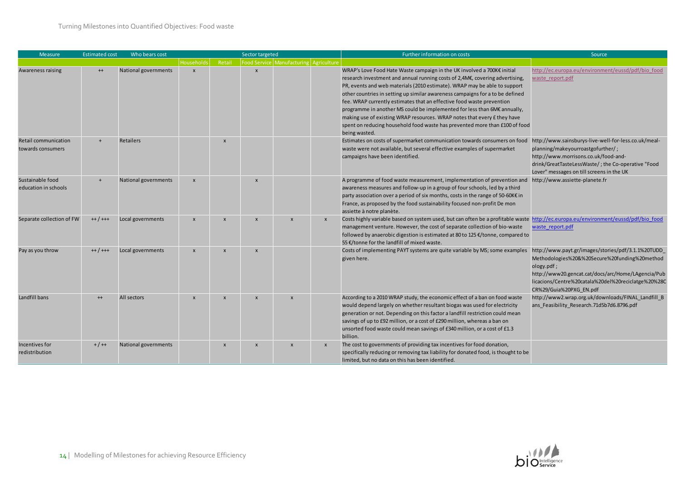| <b>Measure</b>                            | <b>Estimated cost</b> | Who bears cost       | Sector targeted           |                           |                           |                                        |                           | Further information on costs<br>Source                                                                                                                                                                                                                                                                                                                                                                                                                                                                                                                                                                                                                 |                                                                                                                                                                                                                                                           |  |  |
|-------------------------------------------|-----------------------|----------------------|---------------------------|---------------------------|---------------------------|----------------------------------------|---------------------------|--------------------------------------------------------------------------------------------------------------------------------------------------------------------------------------------------------------------------------------------------------------------------------------------------------------------------------------------------------------------------------------------------------------------------------------------------------------------------------------------------------------------------------------------------------------------------------------------------------------------------------------------------------|-----------------------------------------------------------------------------------------------------------------------------------------------------------------------------------------------------------------------------------------------------------|--|--|
|                                           |                       |                      | <b>Households</b>         | Retail                    |                           | Food Service Manufacturing Agriculture |                           |                                                                                                                                                                                                                                                                                                                                                                                                                                                                                                                                                                                                                                                        |                                                                                                                                                                                                                                                           |  |  |
| Awareness raising                         | $^{++}$               | National governments | $\overline{\mathsf{x}}$   |                           | $\mathbf{x}$              |                                        |                           | WRAP's Love Food Hate Waste campaign in the UK involved a 700K€ initial<br>research investment and annual running costs of 2,4M€, covering advertising,<br>PR, events and web materials (2010 estimate). WRAP may be able to support<br>other countries in setting up similar awareness campaigns for a to be defined<br>fee. WRAP currently estimates that an effective food waste prevention<br>programme in another MS could be implemented for less than 6M€ annually,<br>making use of existing WRAP resources. WRAP notes that every £ they have<br>spent on reducing household food waste has prevented more than £100 of food<br>being wasted. | http://ec.europa.eu/environment/eussd/pdf/bio food<br>waste report.pdf                                                                                                                                                                                    |  |  |
| Retail communication<br>towards consumers |                       | <b>Retailers</b>     |                           | $\mathbf{x}$              |                           |                                        |                           | Estimates on costs of supermarket communication towards consumers on food<br>waste were not available, but several effective examples of supermarket<br>campaigns have been identified.                                                                                                                                                                                                                                                                                                                                                                                                                                                                | http://www.sainsburys-live-well-for-less.co.uk/meal-<br>planning/makeyourroastgofurther/;<br>http://www.morrisons.co.uk/food-and-<br>drink/GreatTasteLessWaste/; the Co-operative "Food<br>Lover" messages on till screens in the UK                      |  |  |
| Sustainable food<br>education in schools  |                       | National governments | $\boldsymbol{\mathsf{x}}$ |                           | $\boldsymbol{\mathsf{x}}$ |                                        |                           | A programme of food waste measurement, implementation of prevention and http://www.assiette-planete.fr<br>awareness measures and follow-up in a group of four schools, led by a third<br>party association over a period of six months, costs in the range of 50-60K€ in<br>France, as proposed by the food sustainability focused non-profit De mon<br>assiette à notre planète.                                                                                                                                                                                                                                                                      |                                                                                                                                                                                                                                                           |  |  |
| Separate collection of FW                 | $++/++$               | Local governments    | $\boldsymbol{\mathsf{x}}$ | $\mathbf{x}$              | $\boldsymbol{\mathsf{x}}$ | $\boldsymbol{\mathsf{x}}$              | $\mathsf{x}$              | Costs highly variable based on system used, but can often be a profitable waste http://ec.europa.eu/environment/eussd/pdf/bio food<br>management venture. However, the cost of separate collection of bio-waste<br>followed by anaerobic digestion is estimated at 80 to 125 €/tonne, compared to<br>55 €/tonne for the landfill of mixed waste.                                                                                                                                                                                                                                                                                                       | waste report.pdf                                                                                                                                                                                                                                          |  |  |
| Pay as you throw                          | $++/++$               | Local governments    | $\boldsymbol{\mathsf{x}}$ | $\mathbf{x}$              | $\boldsymbol{\mathsf{x}}$ |                                        |                           | Costs of implementing PAYT systems are quite variable by MS; some examples<br>given here.                                                                                                                                                                                                                                                                                                                                                                                                                                                                                                                                                              | http://www.payt.gr/images/stories/pdf/3.1.1%20TUDD<br>Methodologies%20&%20Secure%20funding%20method<br>ology.pdf;<br>http://www20.gencat.cat/docs/arc/Home/LAgencia/Pub<br>licacions/Centre%20catala%20del%20reciclatge%20%28C<br>CR%29/Guia%20PXG_EN.pdf |  |  |
| Landfill bans                             | $++$                  | All sectors          | $\boldsymbol{\mathsf{x}}$ | $\boldsymbol{\mathsf{x}}$ | $\boldsymbol{\mathsf{x}}$ | $\mathbf{x}$                           |                           | According to a 2010 WRAP study, the economic effect of a ban on food waste<br>would depend largely on whether resultant biogas was used for electricity<br>generation or not. Depending on this factor a landfill restriction could mean<br>savings of up to £92 million, or a cost of £290 million, whereas a ban on<br>unsorted food waste could mean savings of £340 million, or a cost of £1.3<br>billion.                                                                                                                                                                                                                                         | http://www2.wrap.org.uk/downloads/FINAL Landfill B<br>ans Feasibility Research.71d5b7d6.8796.pdf                                                                                                                                                          |  |  |
| Incentives for<br>redistribution          | $+ / +$               | National governments |                           | $\mathbf{x}$              | $\boldsymbol{\mathsf{x}}$ | $\boldsymbol{\mathsf{x}}$              | $\boldsymbol{\mathsf{x}}$ | The cost to governments of providing tax incentives for food donation,<br>specifically reducing or removing tax liability for donated food, is thought to be<br>limited, but no data on this has been identified.                                                                                                                                                                                                                                                                                                                                                                                                                                      |                                                                                                                                                                                                                                                           |  |  |

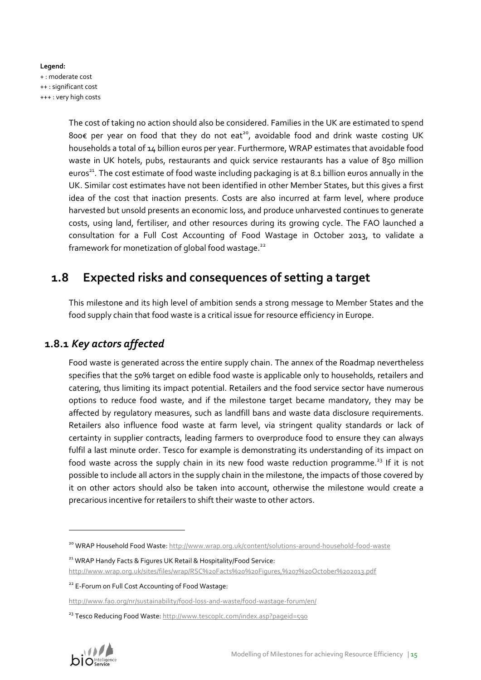#### **Legend:** + : moderate cost ++ : significant cost +++ : very high costs

The cost of taking no action should also be considered. Families in the UK are estimated to spend 800€ per year on food that they do not eat<sup>20</sup>, avoidable food and drink waste costing UK households a total of 14 billion euros per year. Furthermore, WRAP estimates that avoidable food waste in UK hotels, pubs, restaurants and quick service restaurants has a value of 850 million euros<sup>21</sup>. The cost estimate of food waste including packaging is at 8.1 billion euros annually in the UK. Similar cost estimates have not been identified in other Member States, but this gives a first idea of the cost that inaction presents. Costs are also incurred at farm level, where produce harvested but unsold presents an economic loss, and produce unharvested continues to generate costs, using land, fertiliser, and other resources during its growing cycle. The FAO launched a consultation for a Full Cost Accounting of Food Wastage in October 2013, to validate a framework for monetization of global food wastage.<sup>22</sup>

# **1.8 Expected risks and consequences of setting a target**

This milestone and its high level of ambition sends a strong message to Member States and the food supply chain that food waste is a critical issue for resource efficiency in Europe.

## **1.8.1** *Key actors affected*

Food waste is generated across the entire supply chain. The annex of the Roadmap nevertheless specifies that the 50% target on edible food waste is applicable only to households, retailers and catering, thus limiting its impact potential. Retailers and the food service sector have numerous options to reduce food waste, and if the milestone target became mandatory, they may be affected by regulatory measures, such as landfill bans and waste data disclosure requirements. Retailers also influence food waste at farm level, via stringent quality standards or lack of certainty in supplier contracts, leading farmers to overproduce food to ensure they can always fulfil a last minute order. Tesco for example is demonstrating its understanding of its impact on food waste across the supply chain in its new food waste reduction programme.<sup>23</sup> If it is not possible to include all actors in the supply chain in the milestone, the impacts of those covered by it on other actors should also be taken into account, otherwise the milestone would create a precarious incentive for retailers to shift their waste to other actors.

<sup>&</sup>lt;sup>23</sup> Tesco Reducing Food Waste[: http://www.tescoplc.com/index.asp?pageid=590](http://www.tescoplc.com/index.asp?pageid=590)



<sup>&</sup>lt;sup>20</sup> WRAP Household Food Waste[: http://www.wrap.org.uk/content/solutions-around-household-food-waste](http://www.wrap.org.uk/content/solutions-around-household-food-waste)

<sup>&</sup>lt;sup>21</sup> WRAP Handy Facts & Figures UK Retail & Hospitality/Food Service:

<http://www.wrap.org.uk/sites/files/wrap/RSC%20Facts%20%20Figures,%207%20October%202013.pdf>

<sup>&</sup>lt;sup>22</sup> E-Forum on Full Cost Accounting of Food Wastage:

<http://www.fao.org/nr/sustainability/food-loss-and-waste/food-wastage-forum/en/>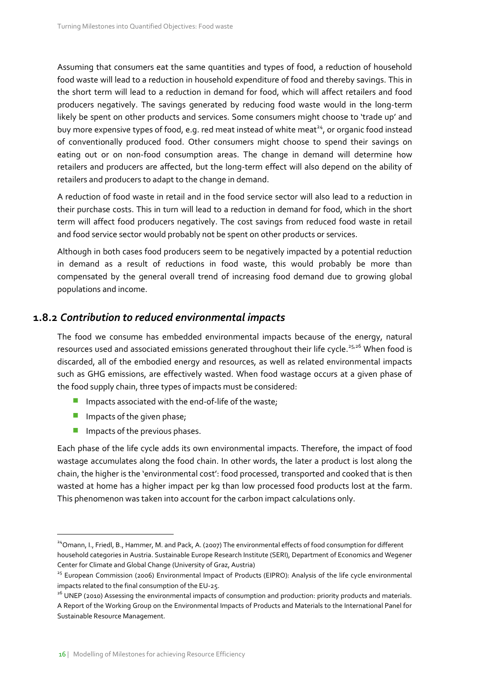Assuming that consumers eat the same quantities and types of food, a reduction of household food waste will lead to a reduction in household expenditure of food and thereby savings. This in the short term will lead to a reduction in demand for food, which will affect retailers and food producers negatively. The savings generated by reducing food waste would in the long-term likely be spent on other products and services. Some consumers might choose to 'trade up' and buy more expensive types of food, e.g. red meat instead of white meat<sup>24</sup>, or organic food instead of conventionally produced food. Other consumers might choose to spend their savings on eating out or on non-food consumption areas. The change in demand will determine how retailers and producers are affected, but the long-term effect will also depend on the ability of retailers and producers to adapt to the change in demand.

A reduction of food waste in retail and in the food service sector will also lead to a reduction in their purchase costs. This in turn will lead to a reduction in demand for food, which in the short term will affect food producers negatively. The cost savings from reduced food waste in retail and food service sector would probably not be spent on other products or services.

Although in both cases food producers seem to be negatively impacted by a potential reduction in demand as a result of reductions in food waste, this would probably be more than compensated by the general overall trend of increasing food demand due to growing global populations and income.

### **1.8.2** *Contribution to reduced environmental impacts*

The food we consume has embedded environmental impacts because of the energy, natural resources used and associated emissions generated throughout their life cycle.<sup>25,26</sup> When food is discarded, all of the embodied energy and resources, as well as related environmental impacts such as GHG emissions, are effectively wasted. When food wastage occurs at a given phase of the food supply chain, three types of impacts must be considered:

- Impacts associated with the end-of-life of the waste;
- **Impacts of the given phase;**

Impacts of the previous phases.

Each phase of the life cycle adds its own environmental impacts. Therefore, the impact of food wastage accumulates along the food chain. In other words, the later a product is lost along the chain, the higher is the 'environmental cost': food processed, transported and cooked that is then wasted at home has a higher impact per kg than low processed food products lost at the farm. This phenomenon was taken into account for the carbon impact calculations only.

<sup>&</sup>lt;sup>24</sup>Omann, I., Friedl, B., Hammer, M. and Pack, A. (2007) The environmental effects of food consumption for different household categories in Austria. Sustainable Europe Research Institute (SERI), Department of Economics and Wegener Center for Climate and Global Change (University of Graz, Austria)

<sup>&</sup>lt;sup>25</sup> European Commission (2006) Environmental Impact of Products (EIPRO): Analysis of the life cycle environmental impacts related to the final consumption of the EU-25.

<sup>&</sup>lt;sup>26</sup> UNEP (2010) Assessing the environmental impacts of consumption and production: priority products and materials. A Report of the Working Group on the Environmental Impacts of Products and Materials to the International Panel for Sustainable Resource Management.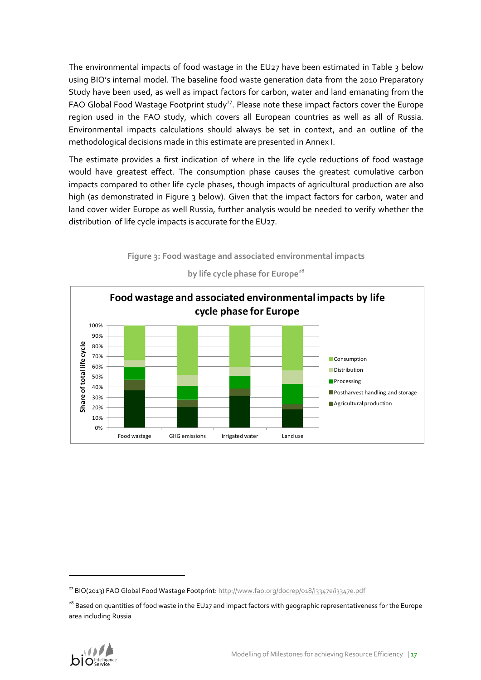The environmental impacts of food wastage in the EU27 have been estimated in Table 3 below using BIO's internal model. The baseline food waste generation data from the 2010 Preparatory Study have been used, as well as impact factors for carbon, water and land emanating from the FAO Global Food Wastage Footprint study<sup>27</sup>. Please note these impact factors cover the Europe region used in the FAO study, which covers all European countries as well as all of Russia. Environmental impacts calculations should always be set in context, and an outline of the methodological decisions made in this estimate are presented in Annex I.

The estimate provides a first indication of where in the life cycle reductions of food wastage would have greatest effect. The consumption phase causes the greatest cumulative carbon impacts compared to other life cycle phases, though impacts of agricultural production are also high (as demonstrated in [Figure 3](#page-16-0) below). Given that the impact factors for carbon, water and land cover wider Europe as well Russia, further analysis would be needed to verify whether the distribution of life cycle impacts is accurate for the EU27.

<span id="page-16-0"></span>

**by life cycle phase for Europe<sup>28</sup>**

**Figure 3: Food wastage and associated environmental impacts** 

<sup>&</sup>lt;sup>28</sup> Based on quantities of food waste in the EU27 and impact factors with geographic representativeness for the Europe area including Russia



<sup>&</sup>lt;sup>27</sup> BIO(2013) FAO Global Food Wastage Footprint[: http://www.fao.org/docrep/018/i3347e/i3347e.pdf](http://www.fao.org/docrep/018/i3347e/i3347e.pdf)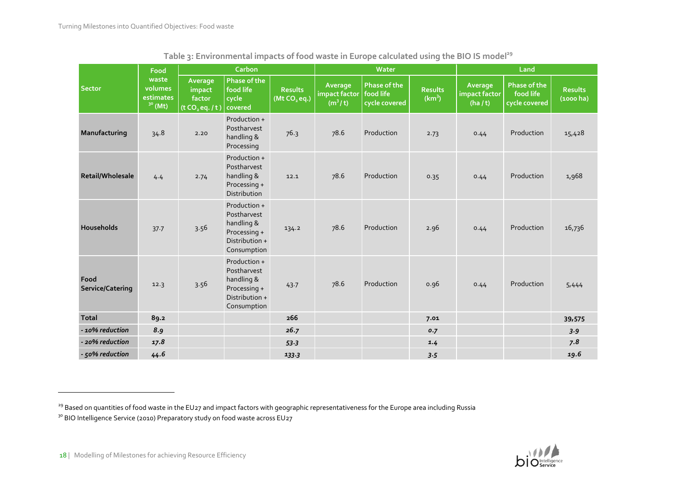|                          | Food                                              |                                                            | Carbon                                                                                     |                                            |                                                             | Water                                |                                      | Land                                 |                                                   |                          |
|--------------------------|---------------------------------------------------|------------------------------------------------------------|--------------------------------------------------------------------------------------------|--------------------------------------------|-------------------------------------------------------------|--------------------------------------|--------------------------------------|--------------------------------------|---------------------------------------------------|--------------------------|
| <b>Sector</b>            | waste<br>volumes<br>estimates<br>$3^{\circ}$ (Mt) | Average<br>impact<br>factor<br>(t CO <sub>2</sub> eq. / t) | Phase of the<br>food life<br>cycle<br>covered                                              | <b>Results</b><br>(Mt CO <sub>2</sub> eq.) | Average<br>impact factor   food life<br>(m <sup>3</sup> /t) | <b>Phase of the</b><br>cycle covered | <b>Results</b><br>(km <sup>3</sup> ) | Average<br>impact factor<br>(ha / t) | <b>Phase of the</b><br>food life<br>cycle covered | <b>Results</b><br>(1000) |
| Manufacturing            | 34.8                                              | 2.20                                                       | Production +<br>Postharvest<br>handling &<br>Processing                                    | 76.3                                       | 78.6                                                        | Production                           | 2.73                                 | 0.44                                 | Production                                        | 15,428                   |
| Retail/Wholesale         | 4.4                                               | 2.74                                                       | Production +<br>Postharvest<br>handling &<br>Processing +<br>Distribution                  | 12.1                                       | 78.6                                                        | Production                           | 0.35                                 | 0.44                                 | Production                                        | 1,968                    |
| Households               | 37.7                                              | 3.56                                                       | Production +<br>Postharvest<br>handling &<br>Processing +<br>Distribution +<br>Consumption | 134.2                                      | 78.6                                                        | Production                           | 2.96                                 | 0.44                                 | Production                                        | 16,736                   |
| Food<br>Service/Catering | 12.3                                              | 3.56                                                       | Production +<br>Postharvest<br>handling &<br>Processing +<br>Distribution +<br>Consumption | 43.7                                       | 78.6                                                        | Production                           | 0.96                                 | 0.44                                 | Production                                        | 5,444                    |
| <b>Total</b>             | 89.2                                              |                                                            |                                                                                            | 266                                        |                                                             |                                      | 7.01                                 |                                      |                                                   | 39,575                   |
| - 10% reduction          | 8.9                                               |                                                            |                                                                                            | 26.7                                       |                                                             |                                      | 0.7                                  |                                      |                                                   | 3.9                      |
| 20% reduction -          | 17.8                                              |                                                            |                                                                                            | 53.3                                       |                                                             |                                      | 1.4                                  |                                      |                                                   | 7.8                      |
| - 50% reduction          | 44.6                                              |                                                            |                                                                                            | 133.3                                      |                                                             |                                      | 3.5                                  |                                      |                                                   | 19.6                     |

|  | Table 3: Environmental impacts of food waste in Europe calculated using the BIO IS model <sup>29</sup> |
|--|--------------------------------------------------------------------------------------------------------|
|--|--------------------------------------------------------------------------------------------------------|



<sup>&</sup>lt;sup>29</sup> Based on quantities of food waste in the EU27 and impact factors with geographic representativeness for the Europe area including Russia

<sup>&</sup>lt;sup>30</sup> BIO Intelligence Service (2010) Preparatory study on food waste across EU27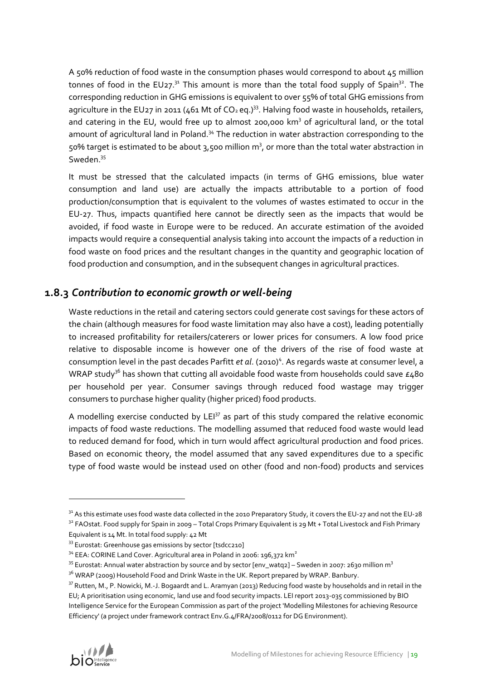A 50% reduction of food waste in the consumption phases would correspond to about 45 million tonnes of food in the EU27. $31$  This amount is more than the total food supply of Spain $32$ . The corresponding reduction in GHG emissions is equivalent to over 55% of total GHG emissions from agriculture in the EU27 in 2011 (461 Mt of  $CO<sub>2</sub>$  eq.)<sup>33</sup>. Halving food waste in households, retailers, and catering in the EU, would free up to almost 200,000 km<sup>3</sup> of agricultural land, or the total amount of agricultural land in Poland.<sup>34</sup> The reduction in water abstraction corresponding to the 50% target is estimated to be about  $3,500$  million  $m^3$ , or more than the total water abstraction in Sweden.<sup>35</sup>

It must be stressed that the calculated impacts (in terms of GHG emissions, blue water consumption and land use) are actually the impacts attributable to a portion of food production/consumption that is equivalent to the volumes of wastes estimated to occur in the EU-27. Thus, impacts quantified here cannot be directly seen as the impacts that would be avoided, if food waste in Europe were to be reduced. An accurate estimation of the avoided impacts would require a consequential analysis taking into account the impacts of a reduction in food waste on food prices and the resultant changes in the quantity and geographic location of food production and consumption, and in the subsequent changes in agricultural practices.

### **1.8.3** *Contribution to economic growth or well-being*

Waste reductions in the retail and catering sectors could generate cost savings for these actors of the chain (although measures for food waste limitation may also have a cost), leading potentially to increased profitability for retailers/caterers or lower prices for consumers. A low food price relative to disposable income is however one of the drivers of the rise of food waste at consumption level in the past decades Parfitt et al[.](#page-2-0) (2010)<sup>4</sup>. As regards waste at consumer level, a WRAP study<sup>36</sup> has shown that cutting all avoidable food waste from households could save  $\epsilon_480$ per household per year. Consumer savings through reduced food wastage may trigger consumers to purchase higher quality (higher priced) food products.

A modelling exercise conducted by  $LEI<sup>37</sup>$  as part of this study compared the relative economic impacts of food waste reductions. The modelling assumed that reduced food waste would lead to reduced demand for food, which in turn would affect agricultural production and food prices. Based on economic theory, the model assumed that any saved expenditures due to a specific type of food waste would be instead used on other (food and non-food) products and services

<sup>&</sup>lt;sup>37</sup> Rutten, M., P. Nowicki, M.-J. Bogaardt and L. Aramyan (2013) Reducing food waste by households and in retail in the EU; A prioritisation using economic, land use and food security impacts. LEI report 2013-035 commissioned by BIO Intelligence Service for the European Commission as part of the project 'Modelling Milestones for achieving Resource Efficiency' (a project under framework contract Env.G.4/FRA/2008/0112 for DG Environment).



<sup>&</sup>lt;sup>31</sup> As this estimate uses food waste data collected in the 2010 Preparatory Study, it covers the EU-27 and not the EU-28  $32$  FAOstat. Food supply for Spain in 2009 – Total Crops Primary Equivalent is 29 Mt + Total Livestock and Fish Primary

Equivalent is 14 Mt. In total food supply: 42 Mt

<sup>&</sup>lt;sup>33</sup> [Eurostat:](file://sbs2003/bio/2012/2012%20CE%20ENV%20SMR%20SR%201202%20Milestones%20for%20achieving%20Resource%20Efficiency/Docs%20de%20travail/Task%203%20-%20Food%20waste/Eurostat) Greenhouse gas emissions by sector [tsdcc210]

 $34$  EEA: CORINE Land Cover. Agricultural area in Poland in 2006: 196,372 km<sup>2</sup>

<sup>&</sup>lt;sup>35</sup> Eurostat: Annual water abstraction by source and by sector [env\_watq2] – Sweden in 2007: 2630 million m<sup>3</sup>

<sup>&</sup>lt;sup>36</sup> WRAP (2009) Household Food and Drink Waste in the UK. Report prepared by WRAP. Banbury.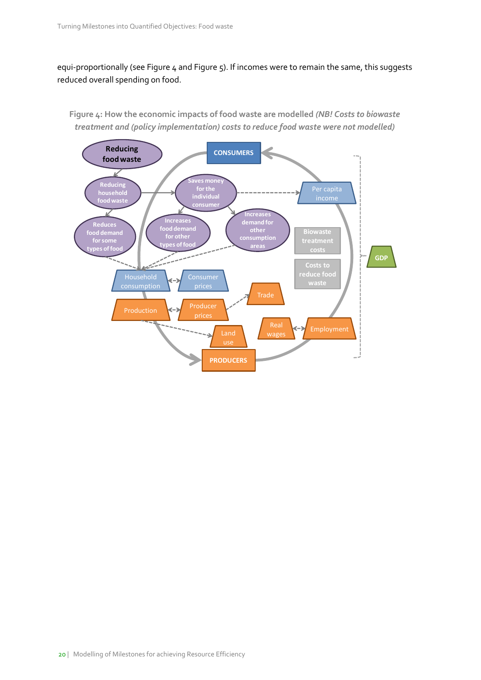equi-proportionally (see [Figure 4](#page-19-0) an[d Figure 5\)](#page-20-0). If incomes were to remain the same, this suggests reduced overall spending on food.

**Reducing CONSUMERS food waste** R **es mone Reducing for the household individual <u>ood wast</u> consume Increase** Ł **Increases demand for Reduces food demand other food demand consumption for other for some types of food areas types of food costs GDP**  $\sim$ **Costs to reduce food**   $\left( -\right)$ price Producer Production **Production** Employment ≺−≯ Land Ś **PRODUCERS**

<span id="page-19-0"></span>**Figure 4: How the economic impacts of food waste are modelled** *(NB! Costs to biowaste treatment and (policy implementation) costs to reduce food waste were not modelled)*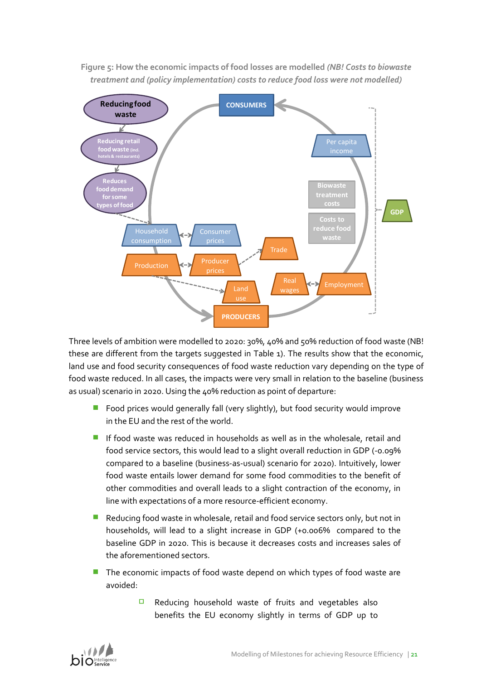

<span id="page-20-0"></span>**Figure 5: How the economic impacts of food losses are modelled** *(NB! Costs to biowaste treatment and (policy implementation) costs to reduce food loss were not modelled)*

Three levels of ambition were modelled to 2020: 30%, 40% and 50% reduction of food waste (NB! these are different from the targets suggested in [Table 1\)](#page-9-0). The results show that the economic, land use and food security consequences of food waste reduction vary depending on the type of food waste reduced. In all cases, the impacts were very small in relation to the baseline (business as usual) scenario in 2020. Using the 40% reduction as point of departure:

- Food prices would generally fall (very slightly), but food security would improve in the EU and the rest of the world.
- **If food waste was reduced in households as well as in the wholesale, retail and** food service sectors, this would lead to a slight overall reduction in GDP (-0.09% compared to a baseline (business-as-usual) scenario for 2020). Intuitively, lower food waste entails lower demand for some food commodities to the benefit of other commodities and overall leads to a slight contraction of the economy, in line with expectations of a more resource-efficient economy.
- Reducing food waste in wholesale, retail and food service sectors only, but not in households, will lead to a slight increase in GDP (+0.006% compared to the baseline GDP in 2020. This is because it decreases costs and increases sales of the aforementioned sectors.
- The economic impacts of food waste depend on which types of food waste are avoided:
	- $\Box$ Reducing household waste of fruits and vegetables also benefits the EU economy slightly in terms of GDP up to

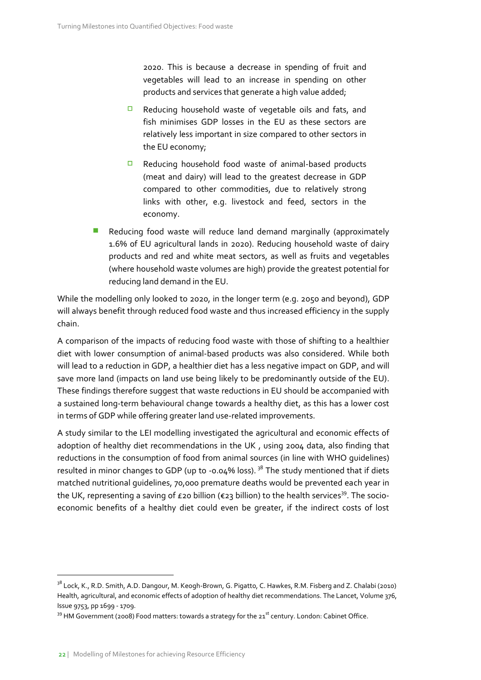2020. This is because a decrease in spending of fruit and vegetables will lead to an increase in spending on other products and services that generate a high value added;

- $\Box$ Reducing household waste of vegetable oils and fats, and fish minimises GDP losses in the EU as these sectors are relatively less important in size compared to other sectors in the EU economy;
- $\Box$ Reducing household food waste of animal-based products (meat and dairy) will lead to the greatest decrease in GDP compared to other commodities, due to relatively strong links with other, e.g. livestock and feed, sectors in the economy.
- Reducing food waste will reduce land demand marginally (approximately 1.6% of EU agricultural lands in 2020). Reducing household waste of dairy products and red and white meat sectors, as well as fruits and vegetables (where household waste volumes are high) provide the greatest potential for reducing land demand in the EU.

While the modelling only looked to 2020, in the longer term (e.g. 2050 and beyond), GDP will always benefit through reduced food waste and thus increased efficiency in the supply chain.

A comparison of the impacts of reducing food waste with those of shifting to a healthier diet with lower consumption of animal-based products was also considered. While both will lead to a reduction in GDP, a healthier diet has a less negative impact on GDP, and will save more land (impacts on land use being likely to be predominantly outside of the EU). These findings therefore suggest that waste reductions in EU should be accompanied with a sustained long-term behavioural change towards a healthy diet, as this has a lower cost in terms of GDP while offering greater land use-related improvements.

A study similar to the LEI modelling investigated the agricultural and economic effects of adoption of healthy diet recommendations in the UK , using 2004 data, also finding that reductions in the consumption of food from animal sources (in line with WHO guidelines) resulted in minor changes to GDP (up to -0.04% loss).  $38$  The study mentioned that if diets matched nutritional guidelines, 70,000 premature deaths would be prevented each year in the UK, representing a saving of £20 billion (€23 billion) to the health services<sup>39</sup>. The socioeconomic benefits of a healthy diet could even be greater, if the indirect costs of lost

<sup>&</sup>lt;sup>38</sup> Lock, K., R.D. Smith, A.D. Dangour, M. Keogh-Brown, G. Pigatto, C. Hawkes, R.M. Fisberg and Z. Chalabi (2010) Health, agricultural, and economic effects of adoption of healthy diet recommendations. The Lancet, Volume 376, Issue 9753, pp 1699 - 1709.

 $39$  HM Government (2008) Food matters: towards a strategy for the  $21<sup>st</sup>$  century. London: Cabinet Office.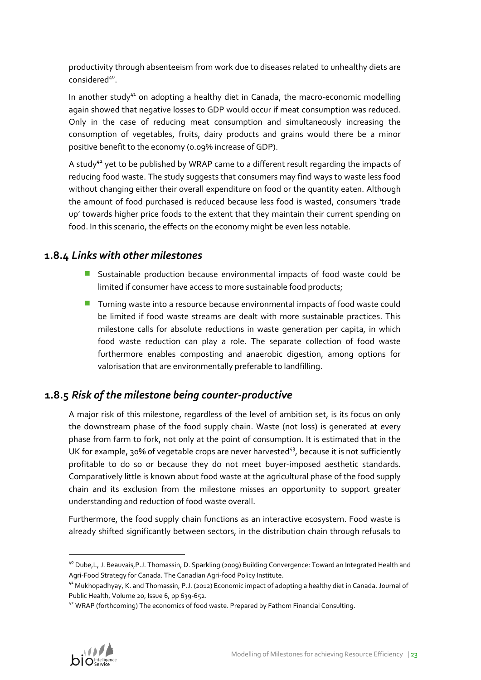productivity through absenteeism from work due to diseases related to unhealthy diets are considered<sup>40</sup>.

In another study $41$  on adopting a healthy diet in Canada, the macro-economic modelling again showed that negative losses to GDP would occur if meat consumption was reduced. Only in the case of reducing meat consumption and simultaneously increasing the consumption of vegetables, fruits, dairy products and grains would there be a minor positive benefit to the economy (0.09% increase of GDP).

A study<sup>42</sup> yet to be published by WRAP came to a different result regarding the impacts of reducing food waste. The study suggests that consumers may find ways to waste less food without changing either their overall expenditure on food or the quantity eaten. Although the amount of food purchased is reduced because less food is wasted, consumers 'trade up' towards higher price foods to the extent that they maintain their current spending on food. In this scenario, the effects on the economy might be even less notable.

### **1.8.4** *Links with other milestones*

- **Sustainable production because environmental impacts of food waste could be** limited if consumer have access to more sustainable food products;
- Turning waste into a resource because environmental impacts of food waste could be limited if food waste streams are dealt with more sustainable practices. This milestone calls for absolute reductions in waste generation per capita, in which food waste reduction can play a role. The separate collection of food waste furthermore enables composting and anaerobic digestion, among options for valorisation that are environmentally preferable to landfilling.

## **1.8.5** *Risk of the milestone being counter-productive*

A major risk of this milestone, regardless of the level of ambition set, is its focus on only the downstream phase of the food supply chain. Waste (not loss) is generated at every phase from farm to fork, not only at the point of consumption. It is estimated that in the UK for example, 30% of vegetable crops are never harvested $43$ , because it is not sufficiently profitable to do so or because they do not meet buyer-imposed aesthetic standards. Comparatively little is known about food waste at the agricultural phase of the food supply chain and its exclusion from the milestone misses an opportunity to support greater understanding and reduction of food waste overall.

Furthermore, the food supply chain functions as an interactive ecosystem. Food waste is already shifted significantly between sectors, in the distribution chain through refusals to

<sup>&</sup>lt;sup>42</sup> WRAP (forthcoming) The economics of food waste. Prepared by Fathom Financial Consulting.



<sup>&</sup>lt;sup>40</sup> Dube, L, J. Beauvais, P.J. Thomassin, D. Sparkling (2009) Building Convergence: Toward an Integrated Health and Agri-Food Strategy for Canada. The Canadian Agri-food Policy Institute.

<sup>&</sup>lt;sup>41</sup> Mukhopadhyay, K. and Thomassin, P.J. (2012) Economic impact of adopting a healthy diet in Canada. Journal of Public Health, Volume 20, Issue 6, pp 639-652.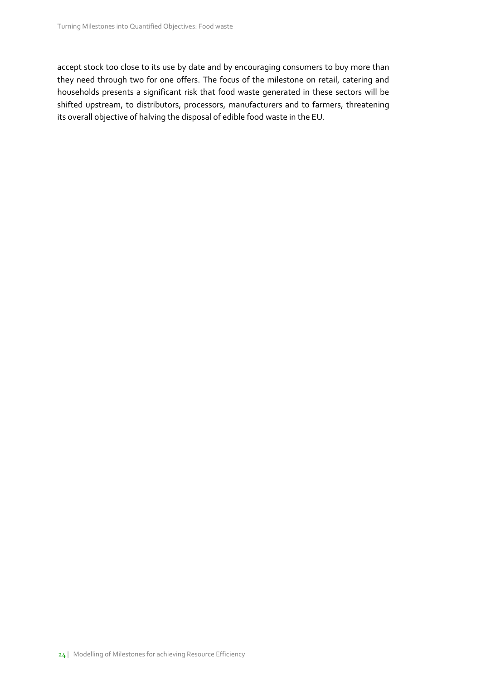accept stock too close to its use by date and by encouraging consumers to buy more than they need through two for one offers. The focus of the milestone on retail, catering and households presents a significant risk that food waste generated in these sectors will be shifted upstream, to distributors, processors, manufacturers and to farmers, threatening its overall objective of halving the disposal of edible food waste in the EU.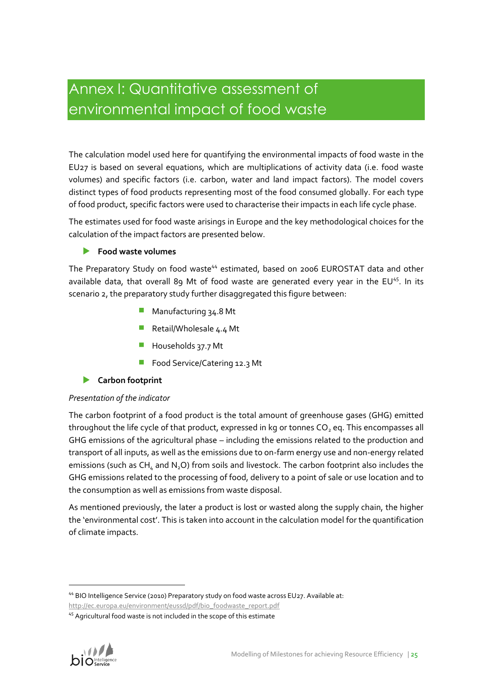# Annex I: Quantitative assessment of environmental impact of food waste

The calculation model used here for quantifying the environmental impacts of food waste in the EU27 is based on several equations, which are multiplications of activity data (i.e. food waste volumes) and specific factors (i.e. carbon, water and land impact factors). The model covers distinct types of food products representing most of the food consumed globally. For each type of food product, specific factors were used to characterise their impacts in each life cycle phase.

The estimates used for food waste arisings in Europe and the key methodological choices for the calculation of the impact factors are presented below.

### **Food waste volumes**

The Preparatory Study on food waste<sup>44</sup> estimated, based on 2006 EUROSTAT data and other available data, that overall 89 Mt of food waste are generated every year in the EU<sup>45</sup>. In its scenario 2, the preparatory study further disaggregated this figure between:

- **Manufacturing 34.8 Mt**
- Retail/Wholesale 4.4 Mt
- Households 37.7 Mt
- Food Service/Catering 12.3 Mt

### **Carbon footprint**

### *Presentation of the indicator*

The carbon footprint of a food product is the total amount of greenhouse gases (GHG) emitted throughout the life cycle of that product, expressed in kg or tonnes  $CO<sub>2</sub>$  eq. This encompasses all GHG emissions of the agricultural phase – including the emissions related to the production and transport of all inputs, as well as the emissions due to on-farm energy use and non-energy related emissions (such as  $CH<sub>4</sub>$  and N<sub>2</sub>O) from soils and livestock. The carbon footprint also includes the GHG emissions related to the processing of food, delivery to a point of sale or use location and to the consumption as well as emissions from waste disposal.

As mentioned previously, the later a product is lost or wasted along the supply chain, the higher the 'environmental cost'. This is taken into account in the calculation model for the quantification of climate impacts.

<sup>&</sup>lt;sup>45</sup> Agricultural food waste is not included in the scope of this estimate



<sup>44</sup> BIO Intelligence Service (2010) Preparatory study on food waste across EU27. Available at:

[http://ec.europa.eu/environment/eussd/pdf/bio\\_foodwaste\\_report.pdf](http://ec.europa.eu/environment/eussd/pdf/bio_foodwaste_report.pdf)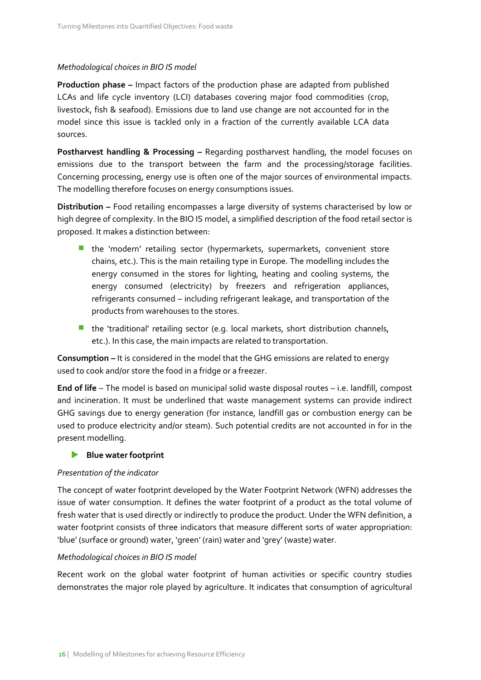#### *Methodological choices in BIO IS model*

**Production phase –** Impact factors of the production phase are adapted from published LCAs and life cycle inventory (LCI) databases covering major food commodities (crop, livestock, fish & seafood). Emissions due to land use change are not accounted for in the model since this issue is tackled only in a fraction of the currently available LCA data sources.

**Postharvest handling & Processing –** Regarding postharvest handling, the model focuses on emissions due to the transport between the farm and the processing/storage facilities. Concerning processing, energy use is often one of the major sources of environmental impacts. The modelling therefore focuses on energy consumptions issues.

**Distribution –** Food retailing encompasses a large diversity of systems characterised by low or high degree of complexity. In the BIO IS model, a simplified description of the food retail sector is proposed. It makes a distinction between:

- **the 'modern' retailing sector (hypermarkets, supermarkets, convenient store** chains, etc.). This is the main retailing type in Europe. The modelling includes the energy consumed in the stores for lighting, heating and cooling systems, the energy consumed (electricity) by freezers and refrigeration appliances, refrigerants consumed – including refrigerant leakage, and transportation of the products from warehouses to the stores.
- $\blacksquare$  the 'traditional' retailing sector (e.g. local markets, short distribution channels, etc.). In this case, the main impacts are related to transportation.

**Consumption –** It is considered in the model that the GHG emissions are related to energy used to cook and/or store the food in a fridge or a freezer.

**End of life** – The model is based on municipal solid waste disposal routes – i.e. landfill, compost and incineration. It must be underlined that waste management systems can provide indirect GHG savings due to energy generation (for instance, landfill gas or combustion energy can be used to produce electricity and/or steam). Such potential credits are not accounted in for in the present modelling.

### **Blue water footprint**

### *Presentation of the indicator*

The concept of water footprint developed by the Water Footprint Network (WFN) addresses the issue of water consumption. It defines the water footprint of a product as the total volume of fresh water that is used directly or indirectly to produce the product. Under the WFN definition, a water footprint consists of three indicators that measure different sorts of water appropriation: 'blue' (surface or ground) water, 'green' (rain) water and 'grey' (waste) water.

#### *Methodological choices in BIO IS model*

Recent work on the global water footprint of human activities or specific country studies demonstrates the major role played by agriculture. It indicates that consumption of agricultural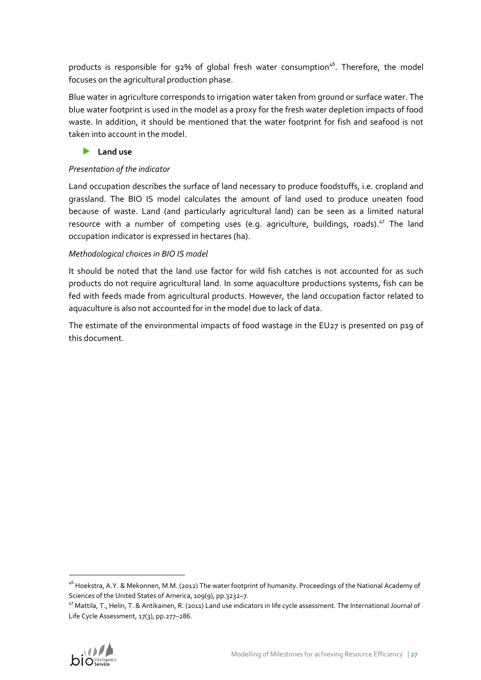products is responsible for 92% of global fresh water consumption<sup>46</sup>. Therefore, the model focuses on the agricultural production phase.

Blue water in agriculture corresponds to irrigation water taken from ground or surface water. The blue water footprint is used in the model as a proxy for the fresh water depletion impacts of food waste. In addition, it should be mentioned that the water footprint for fish and seafood is not taken into account in the model.

### **Land use**

### *Presentation of the indicator*

Land occupation describes the surface of land necessary to produce foodstuffs, i.e. cropland and grassland. The BIO IS model calculates the amount of land used to produce uneaten food because of waste. Land (and particularly agricultural land) can be seen as a limited natural resource with a number of competing uses (e.g. agriculture, buildings, roads).<sup>47</sup> The land occupation indicator is expressed in hectares (ha).

### *Methodological choices in BIO IS model*

It should be noted that the land use factor for wild fish catches is not accounted for as such products do not require agricultural land. In some aquaculture productions systems, fish can be fed with feeds made from agricultural products. However, the land occupation factor related to aquaculture is also not accounted for in the model due to lack of data.

The estimate of the environmental impacts of food wastage in the EU27 is presented on p19 of this document.

<sup>47</sup> Mattila, T., Helin, T. & Antikainen, R. (2011) Land use indicators in life cycle assessment. The International Journal of Life Cycle Assessment, 17(3), pp.277–286.



<sup>&</sup>lt;sup>46</sup> Hoekstra, A.Y. & Mekonnen, M.M. (2012) The water footprint of humanity. Proceedings of the National Academy of Sciences of the United States of America, 109(9), pp.3232–7.